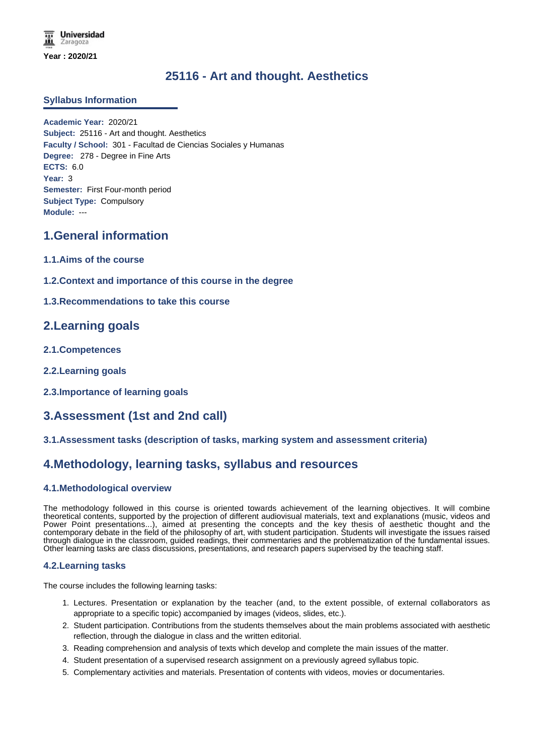**Universidad** Zaragoza **Year : 2020/21**

# **25116 - Art and thought. Aesthetics**

### **Syllabus Information**

**Academic Year:** 2020/21 **Subject:** 25116 - Art and thought. Aesthetics **Faculty / School:** 301 - Facultad de Ciencias Sociales y Humanas **Degree:** 278 - Degree in Fine Arts **ECTS:** 6.0 **Year:** 3 **Semester:** First Four-month period **Subject Type:** Compulsory **Module:** ---

## **1.General information**

- **1.1.Aims of the course**
- **1.2.Context and importance of this course in the degree**

### **1.3.Recommendations to take this course**

## **2.Learning goals**

- **2.1.Competences**
- **2.2.Learning goals**
- **2.3.Importance of learning goals**

# **3.Assessment (1st and 2nd call)**

#### **3.1.Assessment tasks (description of tasks, marking system and assessment criteria)**

## **4.Methodology, learning tasks, syllabus and resources**

### **4.1.Methodological overview**

The methodology followed in this course is oriented towards achievement of the learning objectives. It will combine theoretical contents, supported by the projection of different audiovisual materials, text and explanations (music, videos and Power Point presentations...), aimed at presenting the concepts and the key thesis of aesthetic thought and the contemporary debate in the field of the philosophy of art, with student participation. Students will investigate the issues raised through dialogue in the classroom, guided readings, their commentaries and the problematization of the fundamental issues. Other learning tasks are class discussions, presentations, and research papers supervised by the teaching staff.

#### **4.2.Learning tasks**

The course includes the following learning tasks:

- 1. Lectures. Presentation or explanation by the teacher (and, to the extent possible, of external collaborators as appropriate to a specific topic) accompanied by images (videos, slides, etc.).
- 2. Student participation. Contributions from the students themselves about the main problems associated with aesthetic reflection, through the dialogue in class and the written editorial.
- 3. Reading comprehension and analysis of texts which develop and complete the main issues of the matter.
- 4. Student presentation of a supervised research assignment on a previously agreed syllabus topic.
- 5. Complementary activities and materials. Presentation of contents with videos, movies or documentaries.